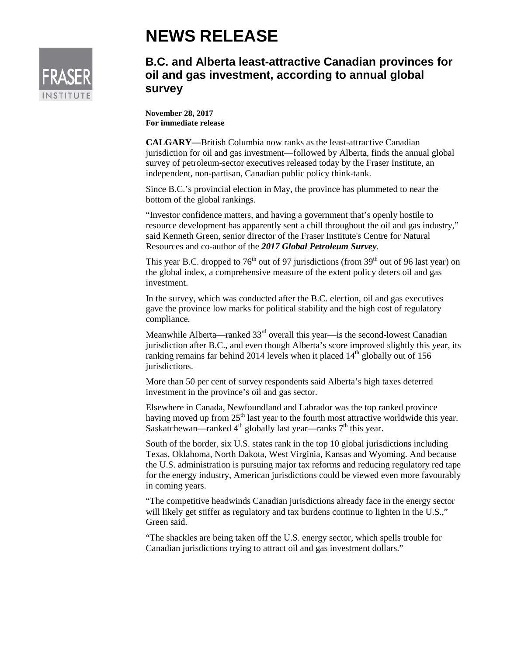## **NEWS RELEASE**



## **B.C. and Alberta least-attractive Canadian provinces for oil and gas investment, according to annual global survey**

**November 28, 2017 For immediate release**

**CALGARY—**British Columbia now ranks as the least-attractive Canadian jurisdiction for oil and gas investment—followed by Alberta, finds the annual global survey of petroleum-sector executives released today by the Fraser Institute, an independent, non-partisan, Canadian public policy think-tank.

Since B.C.'s provincial election in May, the province has plummeted to near the bottom of the global rankings.

"Investor confidence matters, and having a government that's openly hostile to resource development has apparently sent a chill throughout the oil and gas industry," said Kenneth Green, senior director of the Fraser Institute's Centre for Natural Resources and co-author of the *2017 Global Petroleum Survey*.

This year B.C. dropped to  $76<sup>th</sup>$  out of 97 jurisdictions (from 39<sup>th</sup> out of 96 last year) on the global index, a comprehensive measure of the extent policy deters oil and gas investment.

In the survey, which was conducted after the B.C. election, oil and gas executives gave the province low marks for political stability and the high cost of regulatory compliance.

Meanwhile Alberta—ranked  $33<sup>rd</sup>$  overall this year—is the second-lowest Canadian jurisdiction after B.C., and even though Alberta's score improved slightly this year, its ranking remains far behind 2014 levels when it placed  $14<sup>th</sup>$  globally out of 156 jurisdictions.

More than 50 per cent of survey respondents said Alberta's high taxes deterred investment in the province's oil and gas sector.

Elsewhere in Canada, Newfoundland and Labrador was the top ranked province having moved up from  $25<sup>th</sup>$  last year to the fourth most attractive worldwide this year. Saskatchewan—ranked  $4<sup>th</sup>$  globally last year—ranks  $7<sup>th</sup>$  this year.

South of the border, six U.S. states rank in the top 10 global jurisdictions including Texas, Oklahoma, North Dakota, West Virginia, Kansas and Wyoming. And because the U.S. administration is pursuing major tax reforms and reducing regulatory red tape for the energy industry, American jurisdictions could be viewed even more favourably in coming years.

"The competitive headwinds Canadian jurisdictions already face in the energy sector will likely get stiffer as regulatory and tax burdens continue to lighten in the U.S.," Green said.

"The shackles are being taken off the U.S. energy sector, which spells trouble for Canadian jurisdictions trying to attract oil and gas investment dollars."